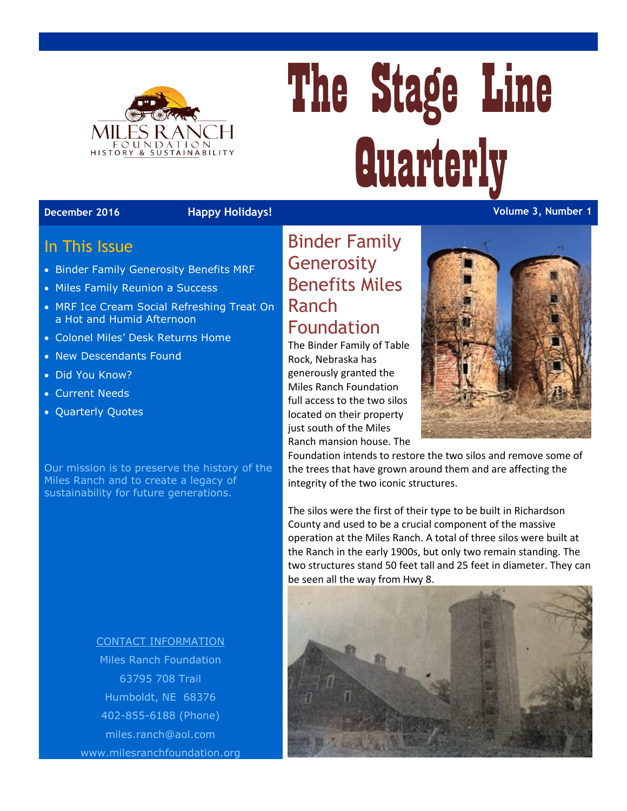

# The Stage Line **Quarterly**

#### In This Issue

- Binder Family Generosity Benefits MRF
- Miles Family Reunion a Success
- MRF Ice Cream Social Refreshing Treat On a Hot and Humid Afternoon
- Colonel Miles' Desk Returns Home
- New Descendants Found
- Did You Know?
- Current Needs
- Quarterly Quotes

Our mission is to preserve the history of the Miles Ranch and to create a legacy of sustainability for future generations.

#### CONTACT INFORMATION Miles Ranch Foundation

63795 708 Trail Humboldt, NE 68376 402-855-6188 (Phone) [miles.ranch@aol.com](mailto:miles.ranch@aol.com) www.milesranchfoundation.org

#### Binder Family **Generosity** Benefits Miles Ranch Foundation

The Binder Family of Table Rock, Nebraska has generously granted the Miles Ranch Foundation full access to the two silos located on their property just south of the Miles Ranch mansion house. The



Foundation intends to restore the two silos and remove some of the trees that have grown around them and are affecting the integrity of the two iconic structures.

The silos were the first of their type to be built in Richardson County and used to be a crucial component of the massive operation at the Miles Ranch. A total of three silos were built at the Ranch in the early 1900s, but only two remain standing. The two structures stand 50 feet tall and 25 feet in diameter. They can be seen all the way from Hwy 8.



**December 2016 Happy Holidays! Volume 3, Number 1**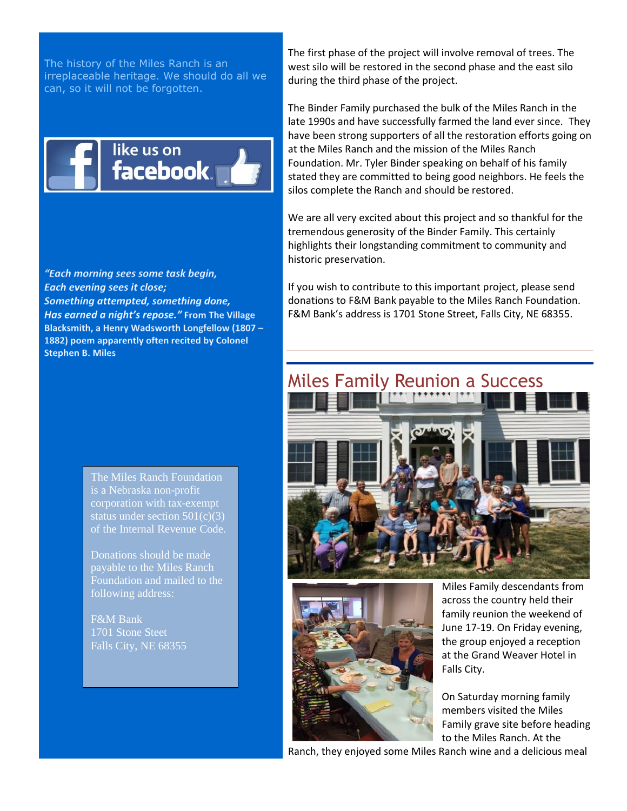The history of the Miles Ranch is an irreplaceable heritage. We should do all we can, so it will not be forgotten.



"Each morning sees some task begin, Each evening sees it close; Something attempted, something done, Has earned a night's repose." From The Village Blacksmith, a Henry Wadsworth Longfellow (1807 -1882) poem apparently often recited by Colonel **Stephen B. Miles** 

The first phase of the project will involve removal of trees. The west silo will be restored in the second phase and the east silo during the third phase of the project.

The Binder Family purchased the bulk of the Miles Ranch in the late 1990s and have successfully farmed the land ever since. They have been strong supporters of all the restoration efforts going on at the Miles Ranch and the mission of the Miles Ranch Foundation. Mr. Tyler Binder speaking on behalf of his family stated they are committed to being good neighbors. He feels the silos complete the Ranch and should be restored.

We are all very excited about this project and so thankful for the tremendous generosity of the Binder Family. This certainly highlights their longstanding commitment to community and historic preservation.

If you wish to contribute to this important project, please send donations to F&M Bank payable to the Miles Ranch Foundation. F&M Bank's address is 1701 Stone Street, Falls City, NE 68355.





Miles Family descendants from across the country held their family reunion the weekend of June 17-19. On Friday evening, the group enjoyed a reception at the Grand Weaver Hotel in Falls City.

On Saturday morning family members visited the Miles Family grave site before heading to the Miles Ranch. At the

Ranch, they enjoyed some Miles Ranch wine and a delicious meal

The Miles Ranch Foundation is a Nebraska non-profit corporation with tax-exempt status under section  $501(c)(3)$ of the Internal Revenue Code.

Donations should be made payable to the Miles Ranch Foundation and mailed to the

F&M Bank 1701 Stone Steet Falls City, NE 68355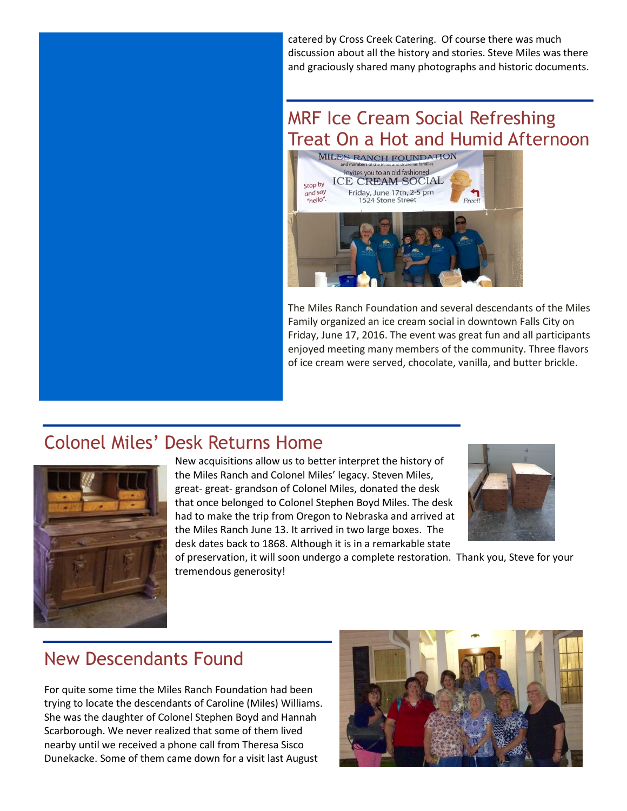catered by Cross Creek Catering. Of course there was much discussion about all the history and stories. Steve Miles was there and graciously shared many photographs and historic documents.

# MRF Ice Cream Social Refreshing Treat On a Hot and Humid Afternoon



The Miles Ranch Foundation and several descendants of the Miles Family organized an ice cream social in downtown Falls City on Friday, June 17, 2016. The event was great fun and all participants enjoyed meeting many members of the community. Three flavors of ice cream were served, chocolate, vanilla, and butter brickle.

### Colonel Miles' Desk Returns Home



New acquisitions allow us to better interpret the history of the Miles Ranch and Colonel Miles' legacy. Steven Miles, great- great- grandson of Colonel Miles, donated the desk that once belonged to Colonel Stephen Boyd Miles. The desk had to make the trip from Oregon to Nebraska and arrived at the Miles Ranch June 13. It arrived in two large boxes. The desk dates back to 1868. Although it is in a remarkable state



of preservation, it will soon undergo a complete restoration. Thank you, Steve for your tremendous generosity!

## New Descendants Found

For quite some time the Miles Ranch Foundation had been trying to locate the descendants of Caroline (Miles) Williams. She was the daughter of Colonel Stephen Boyd and Hannah Scarborough. We never realized that some of them lived nearby until we received a phone call from Theresa Sisco Dunekacke. Some of them came down for a visit last August